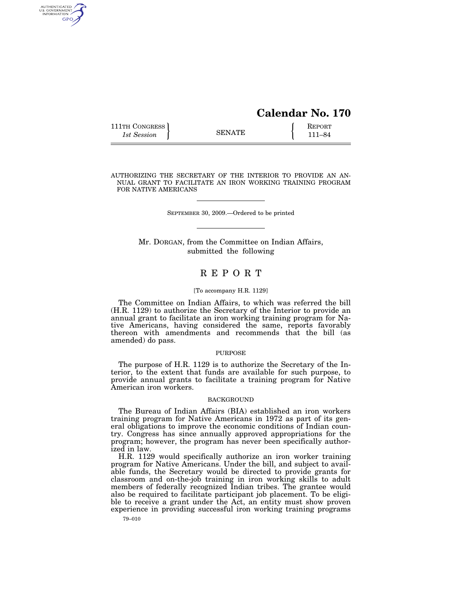# **Calendar No. 170**

| 111TH CONGRESS | <b>SENATE</b> | <b>REPORT</b> |
|----------------|---------------|---------------|
| 1st Session    |               | 111–84        |

AUTHENTICATED<br>U.S. GOVERNMENT<br>INFORMATION GPO

AUTHORIZING THE SECRETARY OF THE INTERIOR TO PROVIDE AN AN-NUAL GRANT TO FACILITATE AN IRON WORKING TRAINING PROGRAM FOR NATIVE AMERICANS

SEPTEMBER 30, 2009.—Ordered to be printed

Mr. DORGAN, from the Committee on Indian Affairs, submitted the following

# R E P O R T

## [To accompany H.R. 1129]

The Committee on Indian Affairs, to which was referred the bill (H.R. 1129) to authorize the Secretary of the Interior to provide an annual grant to facilitate an iron working training program for Native Americans, having considered the same, reports favorably thereon with amendments and recommends that the bill (as amended) do pass.

## PURPOSE

The purpose of H.R. 1129 is to authorize the Secretary of the Interior, to the extent that funds are available for such purpose, to provide annual grants to facilitate a training program for Native American iron workers.

#### BACKGROUND

The Bureau of Indian Affairs (BIA) established an iron workers training program for Native Americans in 1972 as part of its general obligations to improve the economic conditions of Indian country. Congress has since annually approved appropriations for the program; however, the program has never been specifically authorized in law.

H.R. 1129 would specifically authorize an iron worker training program for Native Americans. Under the bill, and subject to available funds, the Secretary would be directed to provide grants for classroom and on-the-job training in iron working skills to adult members of federally recognized Indian tribes. The grantee would also be required to facilitate participant job placement. To be eligible to receive a grant under the Act, an entity must show proven experience in providing successful iron working training programs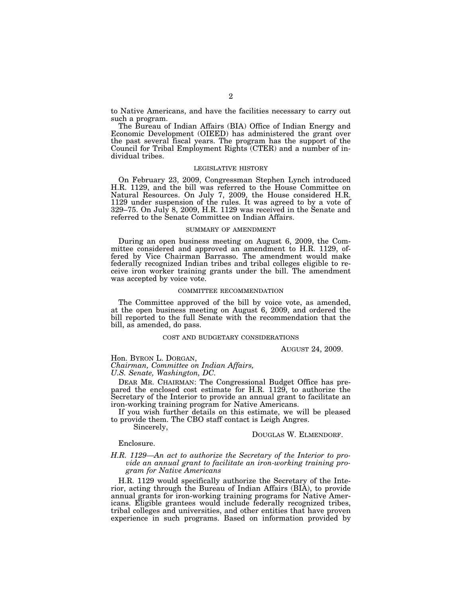to Native Americans, and have the facilities necessary to carry out such a program.

The Bureau of Indian Affairs (BIA) Office of Indian Energy and Economic Development (OIEED) has administered the grant over the past several fiscal years. The program has the support of the Council for Tribal Employment Rights (CTER) and a number of individual tribes.

#### LEGISLATIVE HISTORY

On February 23, 2009, Congressman Stephen Lynch introduced H.R. 1129, and the bill was referred to the House Committee on Natural Resources. On July 7, 2009, the House considered H.R. 1129 under suspension of the rules. It was agreed to by a vote of 329–75. On July 8, 2009, H.R. 1129 was received in the Senate and referred to the Senate Committee on Indian Affairs.

## SUMMARY OF AMENDMENT

During an open business meeting on August 6, 2009, the Committee considered and approved an amendment to H.R. 1129, offered by Vice Chairman Barrasso. The amendment would make federally recognized Indian tribes and tribal colleges eligible to receive iron worker training grants under the bill. The amendment was accepted by voice vote.

## COMMITTEE RECOMMENDATION

The Committee approved of the bill by voice vote, as amended, at the open business meeting on August 6, 2009, and ordered the bill reported to the full Senate with the recommendation that the bill, as amended, do pass.

#### COST AND BUDGETARY CONSIDERATIONS

AUGUST 24, 2009.

Hon. BYRON L. DORGAN,

*Chairman, Committee on Indian Affairs,* 

*U.S. Senate, Washington, DC.* 

DEAR MR. CHAIRMAN: The Congressional Budget Office has prepared the enclosed cost estimate for H.R. 1129, to authorize the Secretary of the Interior to provide an annual grant to facilitate an iron-working training program for Native Americans.

If you wish further details on this estimate, we will be pleased to provide them. The CBO staff contact is Leigh Angres.

Sincerely,

## DOUGLAS W. ELMENDORF.

# Enclosure.

## *H.R. 1129—An act to authorize the Secretary of the Interior to provide an annual grant to facilitate an iron-working training program for Native Americans*

H.R. 1129 would specifically authorize the Secretary of the Interior, acting through the Bureau of Indian Affairs (BIA), to provide annual grants for iron-working training programs for Native Americans. Eligible grantees would include federally recognized tribes, tribal colleges and universities, and other entities that have proven experience in such programs. Based on information provided by